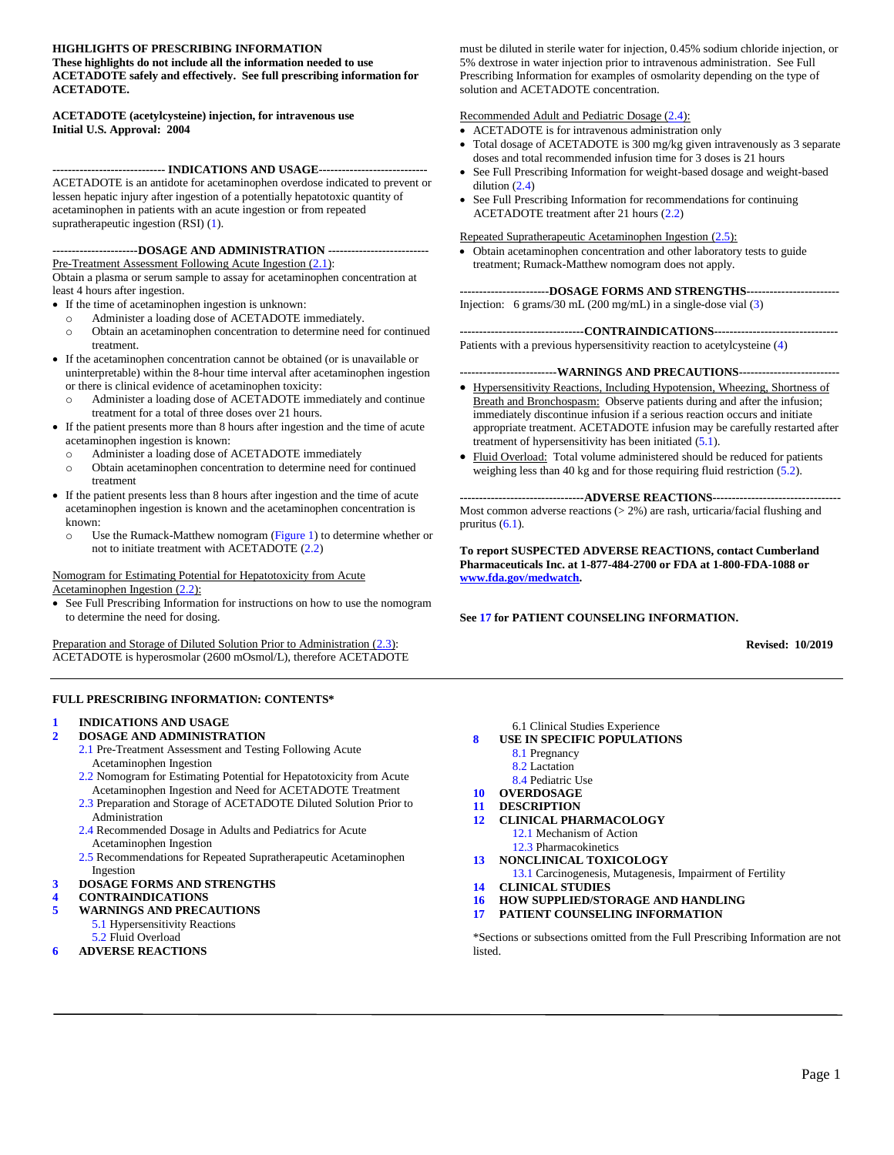#### **HIGHLIGHTS OF PRESCRIBING INFORMATION**

**These highlights do not include all the information needed to use ACETADOTE safely and effectively. See full prescribing information for ACETADOTE.**

#### **ACETADOTE (acetylcysteine) injection, for intravenous use Initial U.S. Approval: 2004**

**----------------------------- INDICATIONS AND USAGE----------------------------** ACETADOTE is an antidote for acetaminophen overdose indicated to prevent or lessen hepatic injury after ingestion of a potentially hepatotoxic quantity of acetaminophen in patients with an acute ingestion or from repeated supratherapeutic ingestion (RSI) [\(1\)](#page-1-0).

#### **----------------------DOSAGE AND ADMINISTRATION --------------------------**

Pre-Treatment Assessment Following Acute Ingestion [\(2.1\)](#page-1-1): Obtain a plasma or serum sample to assay for acetaminophen concentration at least 4 hours after ingestion.

- If the time of acetaminophen ingestion is unknown:
	- o Administer a loading dose of ACETADOTE immediately.
	- o Obtain an acetaminophen concentration to determine need for continued treatment.
- If the acetaminophen concentration cannot be obtained (or is unavailable or uninterpretable) within the 8-hour time interval after acetaminophen ingestion or there is clinical evidence of acetaminophen toxicity:
	- Administer a loading dose of ACETADOTE immediately and continue treatment for a total of three doses over 21 hours.
- If the patient presents more than 8 hours after ingestion and the time of acute acetaminophen ingestion is known:
	- o Administer a loading dose of ACETADOTE immediately
	- o Obtain acetaminophen concentration to determine need for continued treatment
- If the patient presents less than 8 hours after ingestion and the time of acute acetaminophen ingestion is known and the acetaminophen concentration is known:
	- o Use the Rumack-Matthew nomogram [\(Figure 1\)](#page-2-0) to determine whether or not to initiate treatment with ACETADOTE [\(2.2\)](#page-1-2)

#### Nomogram for Estimating Potential for Hepatotoxicity from Acute Acetaminophen Ingestion [\(2.2\)](#page-1-2):

• See Full Prescribing Information for instructions on how to use the nomogram to determine the need for dosing.

Preparation and Storage of Diluted Solution Prior to Administration [\(2.3\)](#page-3-0): ACETADOTE is hyperosmolar (2600 mOsmol/L), therefore ACETADOTE

#### **FULL PRESCRIBING INFORMATION: CONTENTS\***

#### **1 [INDICATIONS AND USAGE](#page-1-0)**

- **2 [DOSAGE AND ADMINISTRATION](#page-1-3)**
	- 2.1 [Pre-Treatment Assessment and Testing Following](#page-1-1) Acute [Acetaminophen Ingestion](#page-1-1)
	- 2.2 [Nomogram for Estimating Potential for Hepatotoxicity from Acute](#page-1-2) Acetaminophen Ingestion [and Need for ACETADOTE](#page-1-2) Treatment
	- 2.3 [Preparation and Storage of ACETADOTE Diluted Solution Prior to](#page-3-0) [Administration](#page-3-0)
	- 2.4 [Recommended Dosage in Adults and Pediatrics for Acute](#page-4-0) [Acetaminophen Ingestion](#page-4-0)
	- 2.5 [Recommendations for Repeated Supratherapeutic Acetaminophen](#page-5-0) [Ingestion](#page-5-0)
- **3 [DOSAGE FORMS AND STRENGTHS](#page-5-1)**
- **4 [CONTRAINDICATIONS](#page-5-2)**
- **5 [WARNINGS AND PRECAUTIONS](#page-5-5)**
	- 5.1 [Hypersensitivity Reactions](#page-5-3)
	- 5.2 [Fluid Overload](#page-5-4)
- **6 [ADVERSE REACTIONS](#page-6-1)**

must be diluted in sterile water for injection, 0.45% sodium chloride injection, or 5% dextrose in water injection prior to intravenous administration. See Full Prescribing Information for examples of osmolarity depending on the type of solution and ACETADOTE concentration.

#### Recommended Adult and Pediatric Dosage [\(2.4\)](#page-4-0):

- ACETADOTE is for intravenous administration only
- Total dosage of ACETADOTE is 300 mg/kg given intravenously as 3 separate doses and total recommended infusion time for 3 doses is 21 hours
- See Full Prescribing Information for weight-based dosage and weight-based dilution [\(2.4\)](#page-4-0)
- See Full Prescribing Information for recommendations for continuing ACETADOTE treatment after 21 hours [\(2.2\)](#page-1-2)

#### Repeated Supratherapeutic Acetaminophen Ingestion [\(2.5\)](#page-5-0):

• Obtain acetaminophen concentration and other laboratory tests to guide treatment; Rumack-Matthew nomogram does not apply.

**-----------------------DOSAGE FORMS AND STRENGTHS------------------------** Injection: 6 grams/30 mL (200 mg/mL) in a single-dose vial [\(3\)](#page-5-1)

**--------------------------------CONTRAINDICATIONS--------------------------------** Patients with a previous hypersensitivity reaction to acetylcysteine [\(4\)](#page-5-2)

#### **-------------------------WARNINGS AND PRECAUTIONS--------------------------**

- Hypersensitivity Reactions, Including Hypotension, Wheezing, Shortness of Breath and Bronchospasm: Observe patients during and after the infusion; immediately discontinue infusion if a serious reaction occurs and initiate appropriate treatment. ACETADOTE infusion may be carefully restarted after treatment of hypersensitivity has been initiated [\(5.1\)](#page-5-3).
- Fluid Overload: Total volume administered should be reduced for patients weighing less than 40 kg and for those requiring fluid restriction [\(5.2\)](#page-5-4).

**--------------------------------ADVERSE REACTIONS---------------------------------** Most common adverse reactions  $(> 2\%)$  are rash, urticaria/facial flushing and pruritus [\(6.1\)](#page-6-0).

**To report SUSPECTED ADVERSE REACTIONS, contact Cumberland Pharmaceuticals Inc. at 1-877-484-2700 or FDA at 1-800-FDA-1088 or [www.fda.gov/medwatch.](http://www.fda.gov/medwatch)**

#### **Se[e 17](#page-11-0) for PATIENT COUNSELING INFORMATION.**

 **Revised: 10/2019**

- [6.1 Clinical Studies Experience](#page-6-0) **8 [USE IN SPECIFIC POPULATIONS](#page-7-0)**
	-
	- 8.1 [Pregnancy](#page-7-1) 8.2 [Lactation](#page-8-0)
	- 8.4 [Pediatric Use](#page-8-1)
- **10 [OVERDOSAGE](#page-8-2)**
- **11 [DESCRIPTION](#page-8-3)**
- **12 [CLINICAL PHARMACOLOGY](#page-9-0)**
	- 12.1 [Mechanism of Action](#page-9-1)
	- 12.3 [Pharmacokinetics](#page-9-2)
- **[13 NONCLINICAL TOXICOLOGY](#page-9-3)**
- 13.1 [Carcinogenesis, Mutagenesis, Impairment of Fertility](#page-9-4) **14 [CLINICAL STUDIES](#page-10-0)**
- 
- **16 [HOW SUPPLIED/STORAGE AND HANDLING](#page-10-1)**
- **17 [PATIENT COUNSELING INFORMATION](#page-11-0)**

\*Sections or subsections omitted from th[e Full Prescribing Information](#page-1-4) are not listed.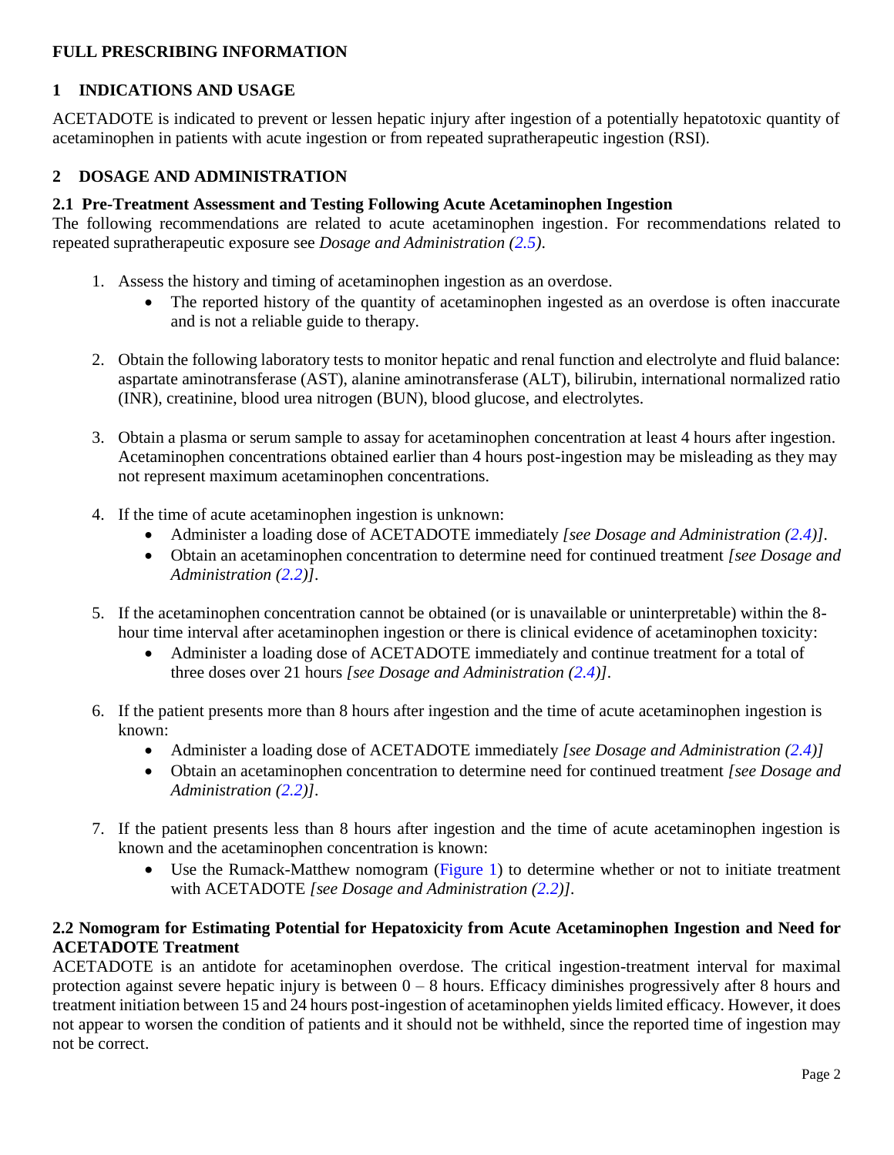## <span id="page-1-4"></span>**FULL PRESCRIBING INFORMATION**

### <span id="page-1-0"></span>**1 INDICATIONS AND USAGE**

ACETADOTE is indicated to prevent or lessen hepatic injury after ingestion of a potentially hepatotoxic quantity of acetaminophen in patients with acute ingestion or from repeated supratherapeutic ingestion (RSI).

### <span id="page-1-3"></span>**2 DOSAGE AND ADMINISTRATION**

### <span id="page-1-1"></span>**2.1 Pre-Treatment Assessment and Testing Following Acute Acetaminophen Ingestion**

The following recommendations are related to acute acetaminophen ingestion. For recommendations related to repeated supratherapeutic exposure see *Dosage and Administration [\(2.5\)](#page-5-0)*.

- 1. Assess the history and timing of acetaminophen ingestion as an overdose.
	- The reported history of the quantity of acetaminophen ingested as an overdose is often inaccurate and is not a reliable guide to therapy.
- 2. Obtain the following laboratory tests to monitor hepatic and renal function and electrolyte and fluid balance: aspartate aminotransferase (AST), alanine aminotransferase (ALT), bilirubin, international normalized ratio (INR), creatinine, blood urea nitrogen (BUN), blood glucose, and electrolytes.
- 3. Obtain a plasma or serum sample to assay for acetaminophen concentration at least 4 hours after ingestion. Acetaminophen concentrations obtained earlier than 4 hours post-ingestion may be misleading as they may not represent maximum acetaminophen concentrations.
- 4. If the time of acute acetaminophen ingestion is unknown:
	- Administer a loading dose of ACETADOTE immediately *[see Dosage and Administration [\(2.4\)](#page-4-0)].*
	- Obtain an acetaminophen concentration to determine need for continued treatment *[see Dosage and Administration [\(2.2\)](#page-1-2)].*
- 5. If the acetaminophen concentration cannot be obtained (or is unavailable or uninterpretable) within the 8 hour time interval after acetaminophen ingestion or there is clinical evidence of acetaminophen toxicity:
	- Administer a loading dose of ACETADOTE immediately and continue treatment for a total of three doses over 21 hours *[see Dosage and Administration [\(2.4\)](#page-4-0)].*
- 6. If the patient presents more than 8 hours after ingestion and the time of acute acetaminophen ingestion is known:
	- Administer a loading dose of ACETADOTE immediately *[see Dosage and Administration [\(2.4\)](#page-4-0)]*
	- Obtain an acetaminophen concentration to determine need for continued treatment *[see Dosage and Administration [\(2.2\)](#page-1-2)].*
- 7. If the patient presents less than 8 hours after ingestion and the time of acute acetaminophen ingestion is known and the acetaminophen concentration is known:
	- Use the Rumack-Matthew nomogram [\(Figure 1\)](#page-2-0) to determine whether or not to initiate treatment with ACETADOTE *[see Dosage and Administration [\(2.2\)](#page-1-2)].*

### <span id="page-1-2"></span>**2.2 Nomogram for Estimating Potential for Hepatoxicity from Acute Acetaminophen Ingestion and Need for ACETADOTE Treatment**

ACETADOTE is an antidote for acetaminophen overdose. The critical ingestion-treatment interval for maximal protection against severe hepatic injury is between  $0 - 8$  hours. Efficacy diminishes progressively after 8 hours and treatment initiation between 15 and 24 hours post-ingestion of acetaminophen yields limited efficacy. However, it does not appear to worsen the condition of patients and it should not be withheld, since the reported time of ingestion may not be correct.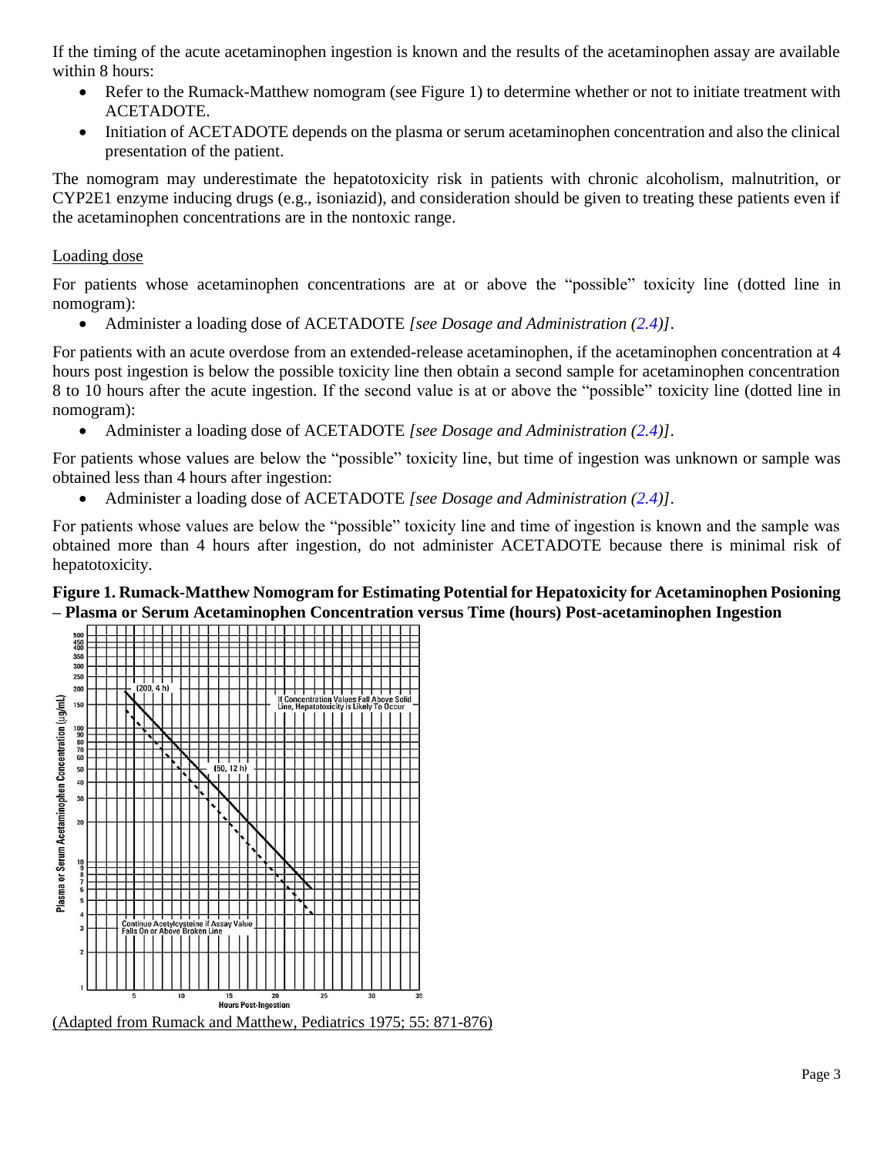If the timing of the acute acetaminophen ingestion is known and the results of the acetaminophen assay are available within 8 hours:

- Refer to the Rumack-Matthew nomogram (see Figure 1) to determine whether or not to initiate treatment with ACETADOTE.
- Initiation of ACETADOTE depends on the plasma or serum acetaminophen concentration and also the clinical presentation of the patient.

The nomogram may underestimate the hepatotoxicity risk in patients with chronic alcoholism, malnutrition, or CYP2E1 enzyme inducing drugs (e.g., isoniazid), and consideration should be given to treating these patients even if the acetaminophen concentrations are in the nontoxic range.

### Loading dose

For patients whose acetaminophen concentrations are at or above the "possible" toxicity line (dotted line in nomogram):

• Administer a loading dose of ACETADOTE *[see Dosage and Administration [\(2.4\)](#page-4-0)]*.

For patients with an acute overdose from an extended-release acetaminophen, if the acetaminophen concentration at 4 hours post ingestion is below the possible toxicity line then obtain a second sample for acetaminophen concentration 8 to 10 hours after the acute ingestion. If the second value is at or above the "possible" toxicity line (dotted line in nomogram):

• Administer a loading dose of ACETADOTE *[see Dosage and Administration [\(2.4\)](#page-4-0)]*.

For patients whose values are below the "possible" toxicity line, but time of ingestion was unknown or sample was obtained less than 4 hours after ingestion:

• Administer a loading dose of ACETADOTE *[see Dosage and Administration [\(2.4\)](#page-4-0)]*.

For patients whose values are below the "possible" toxicity line and time of ingestion is known and the sample was obtained more than 4 hours after ingestion, do not administer ACETADOTE because there is minimal risk of hepatotoxicity.

### <span id="page-2-0"></span>**Figure 1. Rumack-Matthew Nomogram for Estimating Potential for Hepatoxicity for Acetaminophen Posioning – Plasma or Serum Acetaminophen Concentration versus Time (hours) Post-acetaminophen Ingestion**

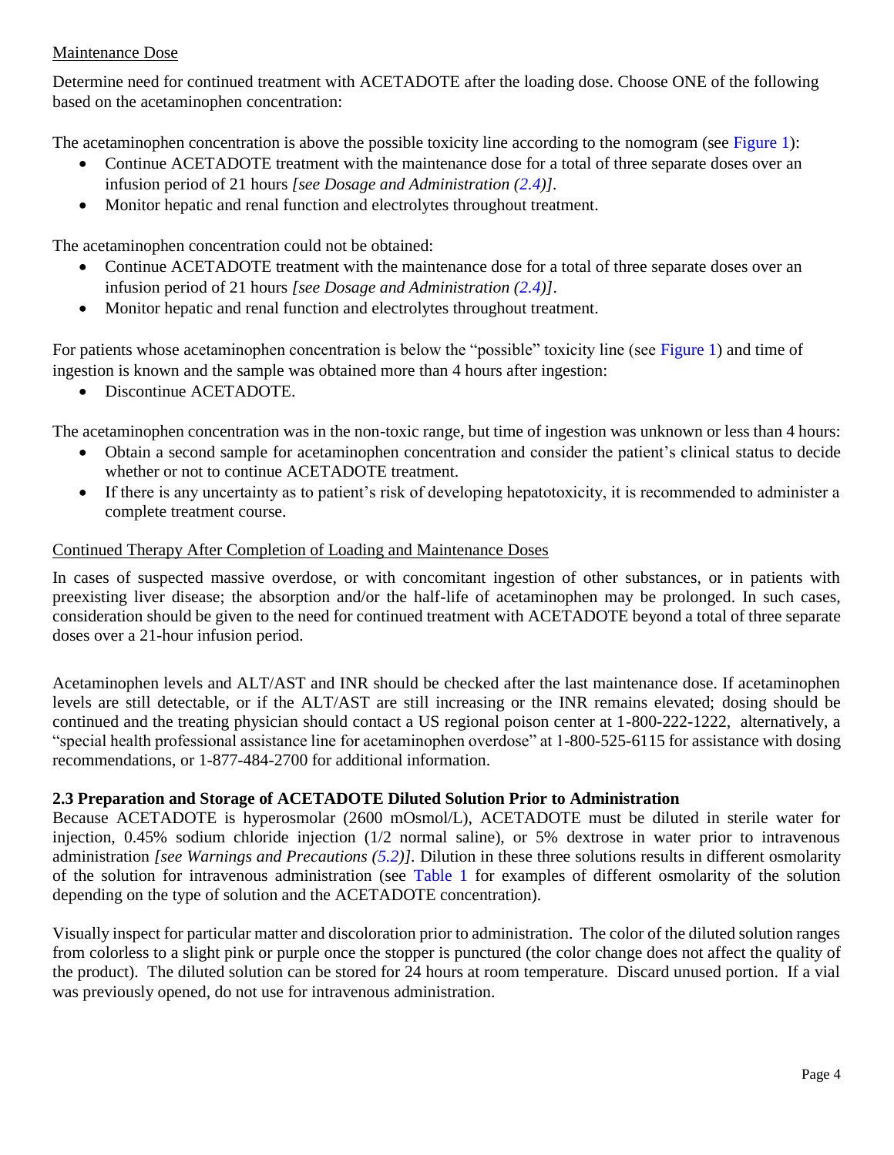### <span id="page-3-1"></span>Maintenance Dose

Determine need for continued treatment with ACETADOTE after the loading dose. Choose ONE of the following based on the acetaminophen concentration:

The acetaminophen concentration is above the possible toxicity line according to the nomogram (see [Figure 1\)](#page-2-0):

- Continue ACETADOTE treatment with the maintenance dose for a total of three separate doses over an infusion period of 21 hours *[see Dosage and Administration [\(2.4\)](#page-4-0)].*
- Monitor hepatic and renal function and electrolytes throughout treatment.

The acetaminophen concentration could not be obtained:

- Continue ACETADOTE treatment with the maintenance dose for a total of three separate doses over an infusion period of 21 hours *[see Dosage and Administration [\(2.4\)](#page-4-0)]*.
- Monitor hepatic and renal function and electrolytes throughout treatment.

For patients whose acetaminophen concentration is below the "possible" toxicity line (see [Figure 1\)](#page-2-0) and time of ingestion is known and the sample was obtained more than 4 hours after ingestion:

• Discontinue ACETADOTE.

The acetaminophen concentration was in the non-toxic range, but time of ingestion was unknown or less than 4 hours:

- Obtain a second sample for acetaminophen concentration and consider the patient's clinical status to decide whether or not to continue ACETADOTE treatment.
- If there is any uncertainty as to patient's risk of developing hepatotoxicity, it is recommended to administer a complete treatment course.

### Continued Therapy After Completion of Loading and Maintenance Doses

In cases of suspected massive overdose, or with concomitant ingestion of other substances, or in patients with preexisting liver disease; the absorption and/or the half-life of acetaminophen may be prolonged. In such cases, consideration should be given to the need for continued treatment with ACETADOTE beyond a total of three separate doses over a 21-hour infusion period.

Acetaminophen levels and ALT/AST and INR should be checked after the last maintenance dose. If acetaminophen levels are still detectable, or if the ALT/AST are still increasing or the INR remains elevated; dosing should be continued and the treating physician should contact a US regional poison center at 1-800-222-1222, alternatively, a "special health professional assistance line for acetaminophen overdose" at 1-800-525-6115 for assistance with dosing recommendations, or 1-877-484-2700 for additional information.

## <span id="page-3-0"></span>**2.3 Preparation and Storage of ACETADOTE Diluted Solution Prior to Administration**

Because ACETADOTE is hyperosmolar (2600 mOsmol/L), ACETADOTE must be diluted in sterile water for injection, 0.45% sodium chloride injection (1/2 normal saline), or 5% dextrose in water prior to intravenous administration *[see Warnings and Precautions [\(5.2\)](#page-5-4)].* Dilution in these three solutions results in different osmolarity of the solution for intravenous administration (see [Table 1](#page-3-1) for examples of different osmolarity of the solution depending on the type of solution and the ACETADOTE concentration).

Visually inspect for particular matter and discoloration prior to administration. The color of the diluted solution ranges from colorless to a slight pink or purple once the stopper is punctured (the color change does not affect the quality of the product). The diluted solution can be stored for 24 hours at room temperature. Discard unused portion. If a vial was previously opened, do not use for intravenous administration.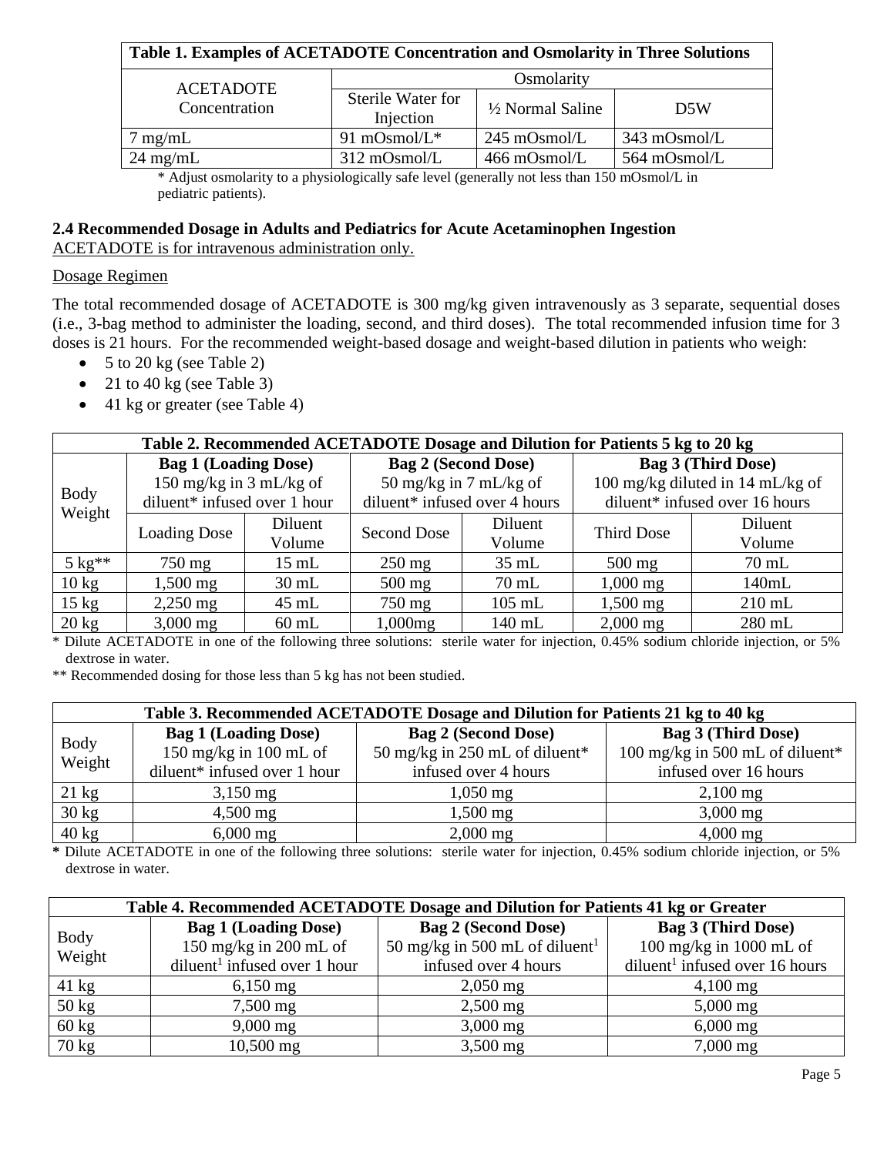| Table 1. Examples of ACETADOTE Concentration and Osmolarity in Three Solutions |                                |                             |                        |  |  |  |
|--------------------------------------------------------------------------------|--------------------------------|-----------------------------|------------------------|--|--|--|
|                                                                                | Osmolarity                     |                             |                        |  |  |  |
| <b>ACETADOTE</b><br>Concentration                                              | Sterile Water for<br>Injection | $\frac{1}{2}$ Normal Saline | D <sub>5</sub> W       |  |  |  |
| mg/mL                                                                          | 91 mOsmol/ $L^*$               | $245 \text{ mOsmol/L}$      | $343 \text{ mOsmol/L}$ |  |  |  |
| $24 \text{ mg/mL}$                                                             | $312 \text{ mOsmol/L}$         | 466 mOsmol/L                | 564 mOsmol/L           |  |  |  |

\* Adjust osmolarity to a physiologically safe level (generally not less than 150 mOsmol/L in pediatric patients).

### <span id="page-4-0"></span>**2.4 Recommended Dosage in Adults and Pediatrics for Acute Acetaminophen Ingestion** ACETADOTE is for intravenous administration only.

### Dosage Regimen

The total recommended dosage of ACETADOTE is 300 mg/kg given intravenously as 3 separate, sequential doses (i.e., 3-bag method to administer the loading, second, and third doses). The total recommended infusion time for 3 doses is 21 hours. For the recommended weight-based dosage and weight-based dilution in patients who weigh:

- 5 to 20 kg (see Table 2)
- 21 to 40 kg (see Table 3)
- 41 kg or greater (see Table 4)

<span id="page-4-1"></span>

| Table 2. Recommended ACETADOTE Dosage and Dilution for Patients 5 kg to 20 kg |                              |                 |                               |          |                                  |          |  |  |
|-------------------------------------------------------------------------------|------------------------------|-----------------|-------------------------------|----------|----------------------------------|----------|--|--|
|                                                                               | <b>Bag 1 (Loading Dose)</b>  |                 | <b>Bag 2 (Second Dose)</b>    |          | <b>Bag 3 (Third Dose)</b>        |          |  |  |
| <b>Body</b>                                                                   | 150 mg/kg in $3$ mL/kg of    |                 | 50 mg/kg in 7 mL/kg of        |          | 100 mg/kg diluted in 14 mL/kg of |          |  |  |
| Weight                                                                        | diluent* infused over 1 hour |                 | diluent* infused over 4 hours |          | diluent* infused over 16 hours   |          |  |  |
|                                                                               | <b>Loading Dose</b>          | Diluent         | Second Dose                   | Diluent  | Third Dose                       | Diluent  |  |  |
|                                                                               |                              | Volume          |                               | Volume   |                                  | Volume   |  |  |
| $5 \text{ kg}^{**}$                                                           | $750 \text{ mg}$             | $15 \text{ mL}$ | $250 \text{ mg}$              | $35$ mL  | $500$ mg                         | $70$ mL  |  |  |
| $10 \text{ kg}$                                                               | $1,500 \,\mathrm{mg}$        | $30 \text{ mL}$ | $500$ mg                      | $70$ mL  | $1,000 \text{ mg}$               | 140mL    |  |  |
| $15 \text{ kg}$                                                               | $2,250 \text{ mg}$           | $45 \text{ mL}$ | 750 mg                        | $105$ mL | $1,500$ mg                       | $210$ mL |  |  |
| $20 \text{ kg}$                                                               | $3,000 \text{ mg}$           | $60$ mL         | $1,000$ mg                    | 140 mL   | $2,000 \text{ mg}$               | $280$ mL |  |  |

\* Dilute ACETADOTE in one of the following three solutions: sterile water for injection, 0.45% sodium chloride injection, or 5% dextrose in water.

\*\* Recommended dosing for those less than 5 kg has not been studied.

<span id="page-4-2"></span>

| Table 3. Recommended ACETADOTE Dosage and Dilution for Patients 21 kg to 40 kg |                              |                                |                                 |  |  |  |
|--------------------------------------------------------------------------------|------------------------------|--------------------------------|---------------------------------|--|--|--|
| Body                                                                           | <b>Bag 1 (Loading Dose)</b>  | <b>Bag 2 (Second Dose)</b>     | <b>Bag 3 (Third Dose)</b>       |  |  |  |
| Weight                                                                         | 150 mg/kg in 100 mL of       | 50 mg/kg in 250 mL of diluent* | 100 mg/kg in 500 mL of diluent* |  |  |  |
|                                                                                | diluent* infused over 1 hour | infused over 4 hours           | infused over 16 hours           |  |  |  |
| $21 \text{ kg}$                                                                | $3,150 \,\mathrm{mg}$        | $1,050 \,\mathrm{mg}$          | $2,100$ mg                      |  |  |  |
| $30 \text{ kg}$                                                                | $4,500 \text{ mg}$           | $1,500$ mg                     | $3,000 \,\mathrm{mg}$           |  |  |  |
| $40 \text{ kg}$                                                                | $6,000 \,\mathrm{mg}$        | $2,000$ mg                     | $4,000 \,\mathrm{mg}$           |  |  |  |

**\*** Dilute ACETADOTE in one of the following three solutions: sterile water for injection, 0.45% sodium chloride injection, or 5% dextrose in water.

<span id="page-4-3"></span>

| Table 4. Recommended ACETADOTE Dosage and Dilution for Patients 41 kg or Greater |                                          |                                            |                                            |  |  |  |  |
|----------------------------------------------------------------------------------|------------------------------------------|--------------------------------------------|--------------------------------------------|--|--|--|--|
|                                                                                  | <b>Bag 1 (Loading Dose)</b>              | <b>Bag 2 (Second Dose)</b>                 | <b>Bag 3 (Third Dose)</b>                  |  |  |  |  |
| <b>Body</b><br>Weight                                                            | 150 mg/kg in 200 mL of                   | 50 mg/kg in 500 mL of diluent <sup>1</sup> | 100 mg/kg in 1000 mL of                    |  |  |  |  |
|                                                                                  | diluent <sup>1</sup> infused over 1 hour | infused over 4 hours                       | diluent <sup>1</sup> infused over 16 hours |  |  |  |  |
| $41 \text{ kg}$                                                                  | $6,150$ mg                               | $2,050 \,\mathrm{mg}$                      | $4,100 \text{ mg}$                         |  |  |  |  |
| $50 \text{ kg}$                                                                  | 7,500 mg                                 | $2,500$ mg                                 | $5,000 \,\mathrm{mg}$                      |  |  |  |  |
| $60 \text{ kg}$                                                                  | $9,000 \,\mathrm{mg}$                    | $3,000 \,\mathrm{mg}$                      | $6,000 \,\mathrm{mg}$                      |  |  |  |  |
| $70 \text{ kg}$                                                                  | $10,500$ mg                              | $3,500 \,\mathrm{mg}$                      | $7,000 \text{ mg}$                         |  |  |  |  |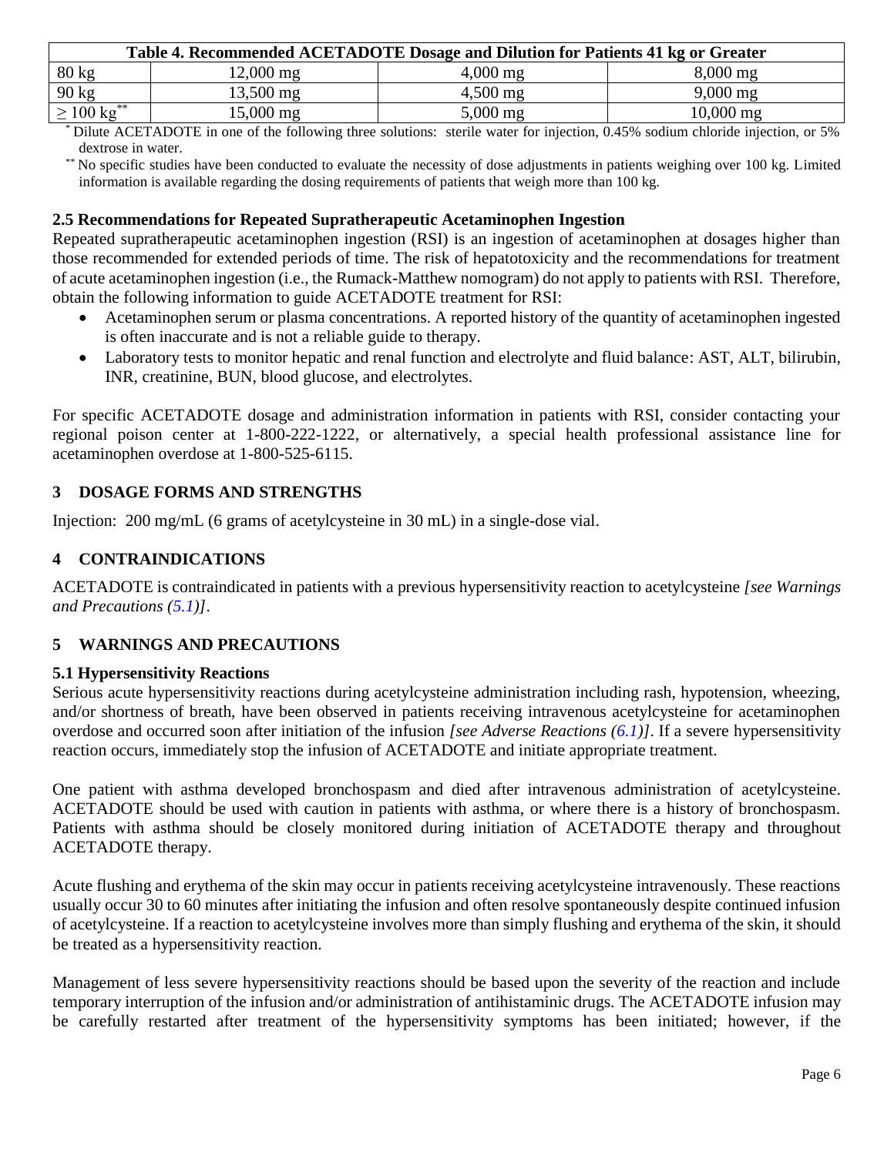<span id="page-5-4"></span>

| Table 4. Recommended ACETADOTE Dosage and Dilution for Patients 41 kg or Greater |                     |                       |                     |  |  |
|----------------------------------------------------------------------------------|---------------------|-----------------------|---------------------|--|--|
| $80 \text{ kg}$                                                                  | $12,000 \text{ mg}$ | $4,000 \,\mathrm{mg}$ | $8,000 \text{ mg}$  |  |  |
| 90 kg                                                                            | 13,500 mg           | $4,500 \,\mathrm{mg}$ | $9,000 \text{ mg}$  |  |  |
| $\geq 100 \text{ kg}^{**}$                                                       | 15,000 mg           | $5,000 \,\mathrm{mg}$ | $10,000 \text{ mg}$ |  |  |

\* Dilute ACETADOTE in one of the following three solutions: sterile water for injection, 0.45% sodium chloride injection, or 5% dextrose in water.

\*\* No specific studies have been conducted to evaluate the necessity of dose adjustments in patients weighing over 100 kg. Limited information is available regarding the dosing requirements of patients that weigh more than 100 kg.

### <span id="page-5-0"></span>**2.5 Recommendations for Repeated Supratherapeutic Acetaminophen Ingestion**

Repeated supratherapeutic acetaminophen ingestion (RSI) is an ingestion of acetaminophen at dosages higher than those recommended for extended periods of time. The risk of hepatotoxicity and the recommendations for treatment of acute acetaminophen ingestion (i.e., the Rumack-Matthew nomogram) do not apply to patients with RSI. Therefore, obtain the following information to guide ACETADOTE treatment for RSI:

- Acetaminophen serum or plasma concentrations. A reported history of the quantity of acetaminophen ingested is often inaccurate and is not a reliable guide to therapy.
- Laboratory tests to monitor hepatic and renal function and electrolyte and fluid balance: AST, ALT, bilirubin, INR, creatinine, BUN, blood glucose, and electrolytes.

For specific ACETADOTE dosage and administration information in patients with RSI, consider contacting your regional poison center at 1-800-222-1222, or alternatively, a special health professional assistance line for acetaminophen overdose at 1-800-525-6115.

### <span id="page-5-1"></span>**3 DOSAGE FORMS AND STRENGTHS**

Injection: 200 mg/mL (6 grams of acetylcysteine in 30 mL) in a single-dose vial.

### <span id="page-5-2"></span>**4 CONTRAINDICATIONS**

ACETADOTE is contraindicated in patients with a previous hypersensitivity reaction to acetylcysteine *[see Warnings and Precautions [\(5.1\)](#page-5-3)]*.

## <span id="page-5-5"></span>**5 WARNINGS AND PRECAUTIONS**

### <span id="page-5-3"></span>**5.1 Hypersensitivity Reactions**

Serious acute hypersensitivity reactions during acetylcysteine administration including rash, hypotension, wheezing, and/or shortness of breath, have been observed in patients receiving intravenous acetylcysteine for acetaminophen overdose and occurred soon after initiation of the infusion *[see Adverse Reactions [\(6.1\)](#page-6-0)]*. If a severe hypersensitivity reaction occurs, immediately stop the infusion of ACETADOTE and initiate appropriate treatment.

One patient with asthma developed bronchospasm and died after intravenous administration of acetylcysteine. ACETADOTE should be used with caution in patients with asthma, or where there is a history of bronchospasm. Patients with asthma should be closely monitored during initiation of ACETADOTE therapy and throughout ACETADOTE therapy.

Acute flushing and erythema of the skin may occur in patients receiving acetylcysteine intravenously. These reactions usually occur 30 to 60 minutes after initiating the infusion and often resolve spontaneously despite continued infusion of acetylcysteine. If a reaction to acetylcysteine involves more than simply flushing and erythema of the skin, it should be treated as a hypersensitivity reaction.

Management of less severe hypersensitivity reactions should be based upon the severity of the reaction and include temporary interruption of the infusion and/or administration of antihistaminic drugs. The ACETADOTE infusion may be carefully restarted after treatment of the hypersensitivity symptoms has been initiated; however, if the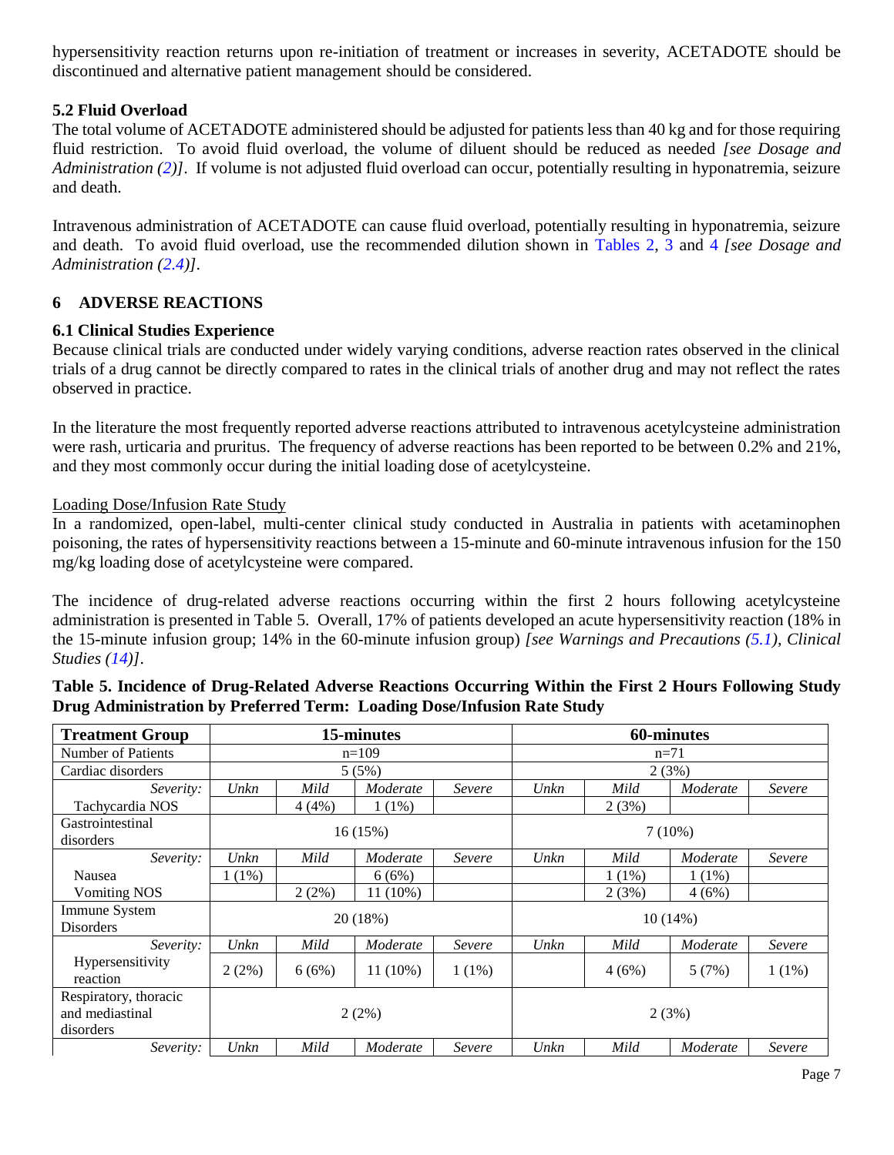hypersensitivity reaction returns upon re-initiation of treatment or increases in severity, ACETADOTE should be discontinued and alternative patient management should be considered.

### **5.2 Fluid Overload**

The total volume of ACETADOTE administered should be adjusted for patients less than 40 kg and for those requiring fluid restriction. To avoid fluid overload, the volume of diluent should be reduced as needed *[see Dosage and Administration [\(2\)](#page-1-3)]*. If volume is not adjusted fluid overload can occur, potentially resulting in hyponatremia, seizure and death.

Intravenous administration of ACETADOTE can cause fluid overload, potentially resulting in hyponatremia, seizure and death. To avoid fluid overload, use the recommended dilution shown in [Tables 2,](#page-4-1) [3](#page-4-2) and [4](#page-4-3) *[see Dosage and Administration [\(2.4\)](#page-4-0)].*

### <span id="page-6-1"></span>**6 ADVERSE REACTIONS**

### <span id="page-6-0"></span>**6.1 Clinical Studies Experience**

Because clinical trials are conducted under widely varying conditions, adverse reaction rates observed in the clinical trials of a drug cannot be directly compared to rates in the clinical trials of another drug and may not reflect the rates observed in practice.

In the literature the most frequently reported adverse reactions attributed to intravenous acetylcysteine administration were rash, urticaria and pruritus. The frequency of adverse reactions has been reported to be between 0.2% and 21%, and they most commonly occur during the initial loading dose of acetylcysteine.

### Loading Dose/Infusion Rate Study

In a randomized, open-label, multi-center clinical study conducted in Australia in patients with acetaminophen poisoning, the rates of hypersensitivity reactions between a 15-minute and 60-minute intravenous infusion for the 150 mg/kg loading dose of acetylcysteine were compared.

The incidence of drug-related adverse reactions occurring within the first 2 hours following acetylcysteine administration is presented in Table 5. Overall, 17% of patients developed an acute hypersensitivity reaction (18% in the 15-minute infusion group; 14% in the 60-minute infusion group) *[see Warnings and Precautions [\(5.1\)](#page-5-3), Clinical Studies [\(14\)](#page-10-0)]*.

| <b>Treatment Group</b>                                | 15-minutes |          |            | <b>60-minutes</b> |      |          |            |          |
|-------------------------------------------------------|------------|----------|------------|-------------------|------|----------|------------|----------|
| <b>Number of Patients</b>                             | $n=109$    |          |            | $n=71$            |      |          |            |          |
| Cardiac disorders                                     |            |          | 5(5%)      |                   |      |          | 2(3%)      |          |
| Severity:                                             | Unkn       | Mild     | Moderate   | Severe            | Unkn | Mild     | Moderate   | Severe   |
| Tachycardia NOS                                       |            | 4(4%)    | $1(1\%)$   |                   |      | 2(3%)    |            |          |
| Gastrointestinal<br>disorders                         |            | 16(15%)  |            |                   |      |          | $7(10\%)$  |          |
| Severity:                                             | Unkn       | Mild     | Moderate   | Severe            | Unkn | Mild     | Moderate   | Severe   |
| Nausea                                                | $1(1\%)$   |          | 6(6%)      |                   |      | $1(1\%)$ | $1(1\%)$   |          |
| <b>Vomiting NOS</b>                                   |            | $2(2\%)$ | $11(10\%)$ |                   |      | 2(3%)    | 4(6%)      |          |
| Immune System<br><b>Disorders</b>                     |            |          | 20(18%)    |                   |      |          | $10(14\%)$ |          |
| Severity:                                             | Unkn       | Mild     | Moderate   | Severe            | Unkn | Mild     | Moderate   | Severe   |
| Hypersensitivity<br>reaction                          | 2(2%)      | 6(6%)    | $11(10\%)$ | $1(1\%)$          |      | 4(6%)    | 5(7%)      | $1(1\%)$ |
| Respiratory, thoracic<br>and mediastinal<br>disorders | 2(2%)      |          |            |                   |      | 2(3%)    |            |          |
| Severity:                                             | Unkn       | Mild     | Moderate   | Severe            | Unkn | Mild     | Moderate   | Severe   |

### **Table 5. Incidence of Drug-Related Adverse Reactions Occurring Within the First 2 Hours Following Study Drug Administration by Preferred Term: Loading Dose/Infusion Rate Study**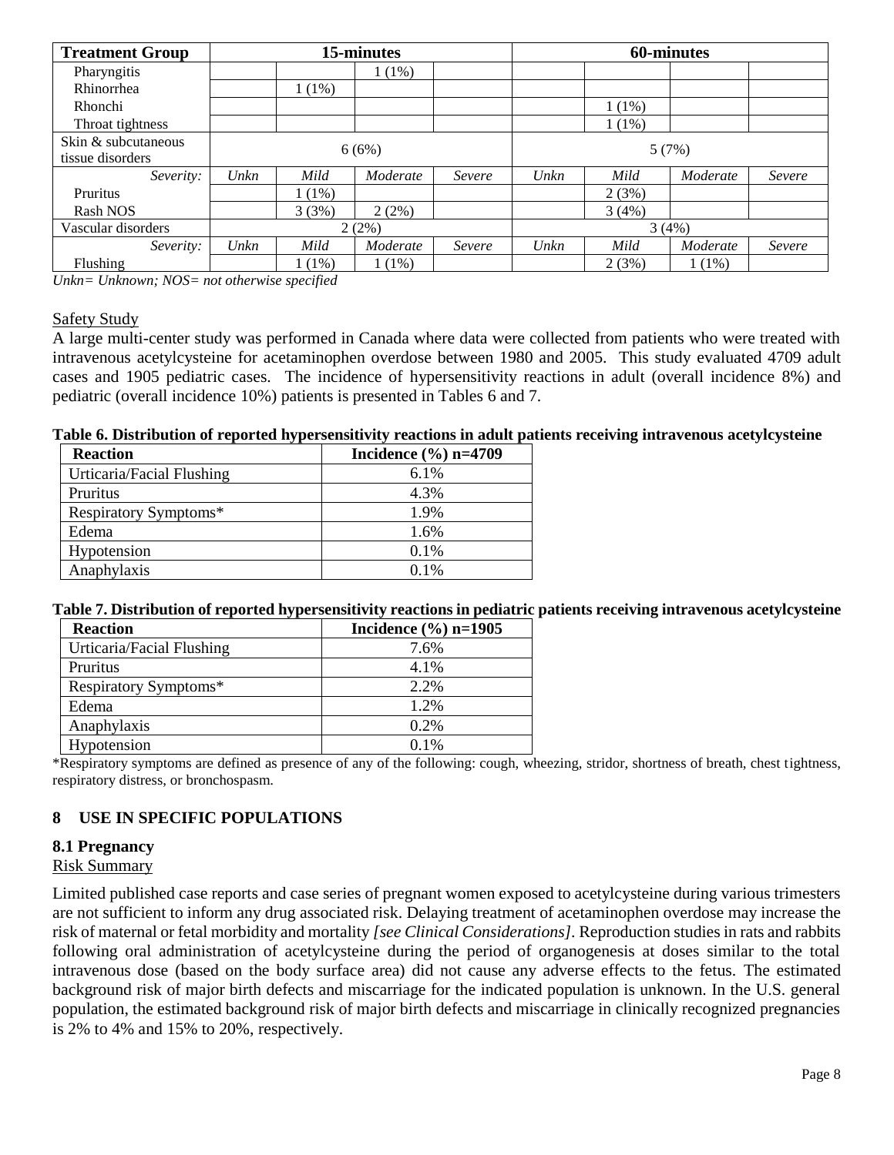| <b>Treatment Group</b>                  | 15-minutes |          |          |        |      | 60-minutes |          |        |
|-----------------------------------------|------------|----------|----------|--------|------|------------|----------|--------|
| Pharyngitis                             |            |          | $1(1\%)$ |        |      |            |          |        |
| Rhinorrhea                              |            | $1(1\%)$ |          |        |      |            |          |        |
| Rhonchi                                 |            |          |          |        |      | 1 (1%)     |          |        |
| Throat tightness                        |            |          |          |        |      | $1(1\%)$   |          |        |
| Skin & subcutaneous<br>tissue disorders |            |          | 6(6%)    |        |      |            | 5(7%)    |        |
| Severity:                               | Unkn       | Mild     | Moderate | Severe | Unkn | Mild       | Moderate | Severe |
| Pruritus                                |            | $1(1\%)$ |          |        |      | 2(3%)      |          |        |
| Rash NOS                                |            | 3(3%)    | 2(2%)    |        |      | 3(4%)      |          |        |
| Vascular disorders                      |            |          | 2(2%)    |        |      |            | 3(4%)    |        |
| Severity:                               | Unkn       | Mild     | Moderate | Severe | Unkn | Mild       | Moderate | Severe |
| Flushing                                |            | $1(1\%)$ | $1(1\%)$ |        |      | 2(3%)      | 1(1%)    |        |

*Unkn= Unknown; NOS= not otherwise specified*

### Safety Study

A large multi-center study was performed in Canada where data were collected from patients who were treated with intravenous acetylcysteine for acetaminophen overdose between 1980 and 2005. This study evaluated 4709 adult cases and 1905 pediatric cases. The incidence of hypersensitivity reactions in adult (overall incidence 8%) and pediatric (overall incidence 10%) patients is presented in Tables 6 and 7.

#### **Table 6. Distribution of reported hypersensitivity reactions in adult patients receiving intravenous acetylcysteine**

| <b>Reaction</b>           | Incidence $(\% )$ n=4709 |
|---------------------------|--------------------------|
| Urticaria/Facial Flushing | $6.1\%$                  |
| Pruritus                  | 4.3%                     |
| Respiratory Symptoms*     | 1.9%                     |
| Edema                     | 1.6%                     |
| Hypotension               | $0.1\%$                  |
| Anaphylaxis               | $0.1\%$                  |

### **Table 7. Distribution of reported hypersensitivity reactions in pediatric patients receiving intravenous acetylcysteine**

| <b>Reaction</b>           | Incidence $(\% )$ n=1905 |
|---------------------------|--------------------------|
| Urticaria/Facial Flushing | 7.6%                     |
| Pruritus                  | 4.1%                     |
| Respiratory Symptoms*     | 2.2%                     |
| Edema                     | 1.2%                     |
| Anaphylaxis               | 0.2%                     |
| Hypotension               | $0.1\%$                  |

\*Respiratory symptoms are defined as presence of any of the following: cough, wheezing, stridor, shortness of breath, chest tightness, respiratory distress, or bronchospasm.

### <span id="page-7-0"></span>**8 USE IN SPECIFIC POPULATIONS**

### <span id="page-7-1"></span>**8.1 Pregnancy**

### Risk Summary

Limited published case reports and case series of pregnant women exposed to acetylcysteine during various trimesters are not sufficient to inform any drug associated risk. Delaying treatment of acetaminophen overdose may increase the risk of maternal or fetal morbidity and mortality *[see Clinical Considerations].* Reproduction studies in rats and rabbits following oral administration of acetylcysteine during the period of organogenesis at doses similar to the total intravenous dose (based on the body surface area) did not cause any adverse effects to the fetus. The estimated background risk of major birth defects and miscarriage for the indicated population is unknown. In the U.S. general population, the estimated background risk of major birth defects and miscarriage in clinically recognized pregnancies is 2% to 4% and 15% to 20%, respectively.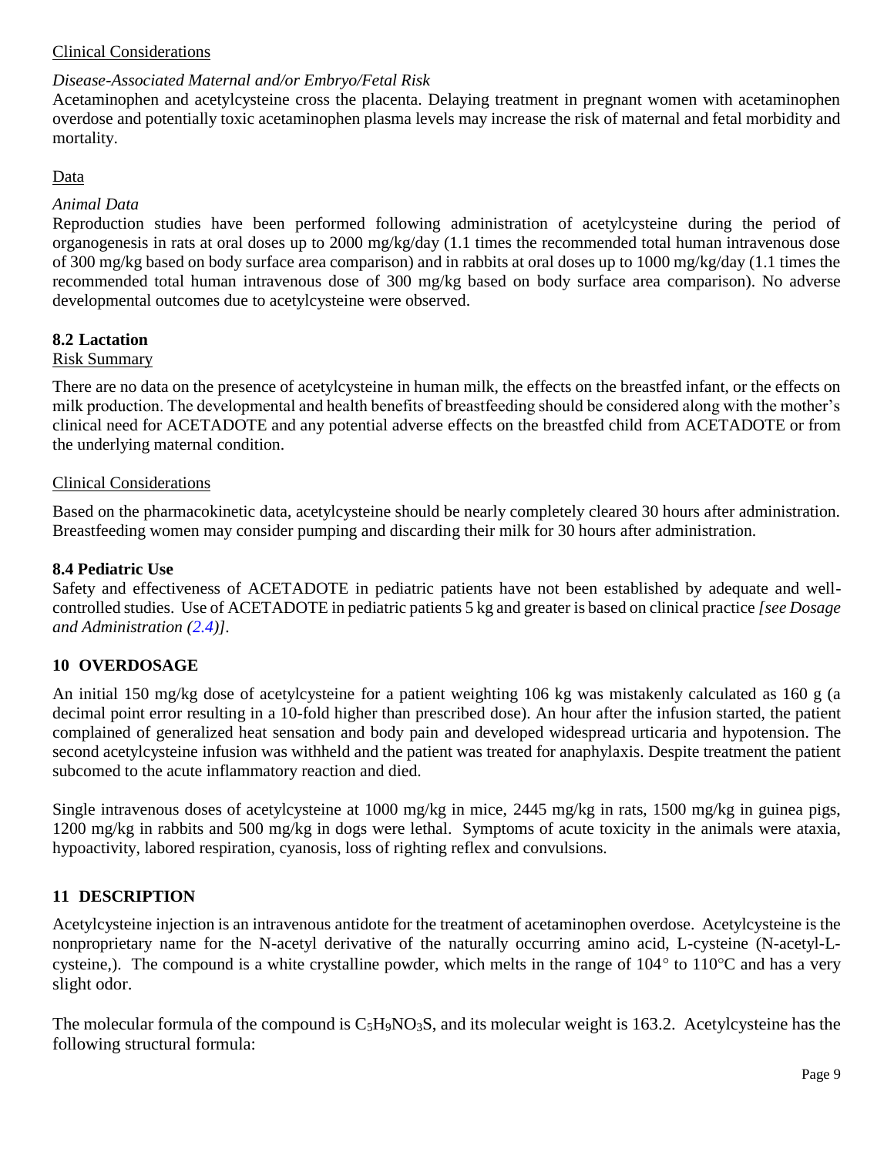### Clinical Considerations

# *Disease-Associated Maternal and/or Embryo/Fetal Risk*

Acetaminophen and acetylcysteine cross the placenta. Delaying treatment in pregnant women with acetaminophen overdose and potentially toxic acetaminophen plasma levels may increase the risk of maternal and fetal morbidity and mortality.

### Data

### *Animal Data*

Reproduction studies have been performed following administration of acetylcysteine during the period of organogenesis in rats at oral doses up to 2000 mg/kg/day (1.1 times the recommended total human intravenous dose of 300 mg/kg based on body surface area comparison) and in rabbits at oral doses up to 1000 mg/kg/day (1.1 times the recommended total human intravenous dose of 300 mg/kg based on body surface area comparison). No adverse developmental outcomes due to acetylcysteine were observed.

## <span id="page-8-0"></span>**8.2 Lactation**

### Risk Summary

There are no data on the presence of acetylcysteine in human milk, the effects on the breastfed infant, or the effects on milk production. The developmental and health benefits of breastfeeding should be considered along with the mother's clinical need for ACETADOTE and any potential adverse effects on the breastfed child from ACETADOTE or from the underlying maternal condition.

### Clinical Considerations

Based on the pharmacokinetic data, acetylcysteine should be nearly completely cleared 30 hours after administration. Breastfeeding women may consider pumping and discarding their milk for 30 hours after administration.

### <span id="page-8-1"></span>**8.4 Pediatric Use**

Safety and effectiveness of ACETADOTE in pediatric patients have not been established by adequate and wellcontrolled studies. Use of ACETADOTE in pediatric patients 5 kg and greater is based on clinical practice *[see Dosage and Administration [\(2.4\)](#page-4-0)].*

## <span id="page-8-2"></span>**10 OVERDOSAGE**

An initial 150 mg/kg dose of acetylcysteine for a patient weighting 106 kg was mistakenly calculated as 160 g (a decimal point error resulting in a 10-fold higher than prescribed dose). An hour after the infusion started, the patient complained of generalized heat sensation and body pain and developed widespread urticaria and hypotension. The second acetylcysteine infusion was withheld and the patient was treated for anaphylaxis. Despite treatment the patient subcomed to the acute inflammatory reaction and died.

Single intravenous doses of acetylcysteine at 1000 mg/kg in mice, 2445 mg/kg in rats, 1500 mg/kg in guinea pigs, 1200 mg/kg in rabbits and 500 mg/kg in dogs were lethal. Symptoms of acute toxicity in the animals were ataxia, hypoactivity, labored respiration, cyanosis, loss of righting reflex and convulsions.

## <span id="page-8-3"></span>**11 DESCRIPTION**

Acetylcysteine injection is an intravenous antidote for the treatment of acetaminophen overdose. Acetylcysteine is the nonproprietary name for the N-acetyl derivative of the naturally occurring amino acid, L-cysteine (N-acetyl-Lcysteine,). The compound is a white crystalline powder, which melts in the range of  $104^{\circ}$  to  $110^{\circ}$ C and has a very slight odor.

The molecular formula of the compound is  $C_5H_9NO_3S$ , and its molecular weight is 163.2. Acetylcysteine has the following structural formula: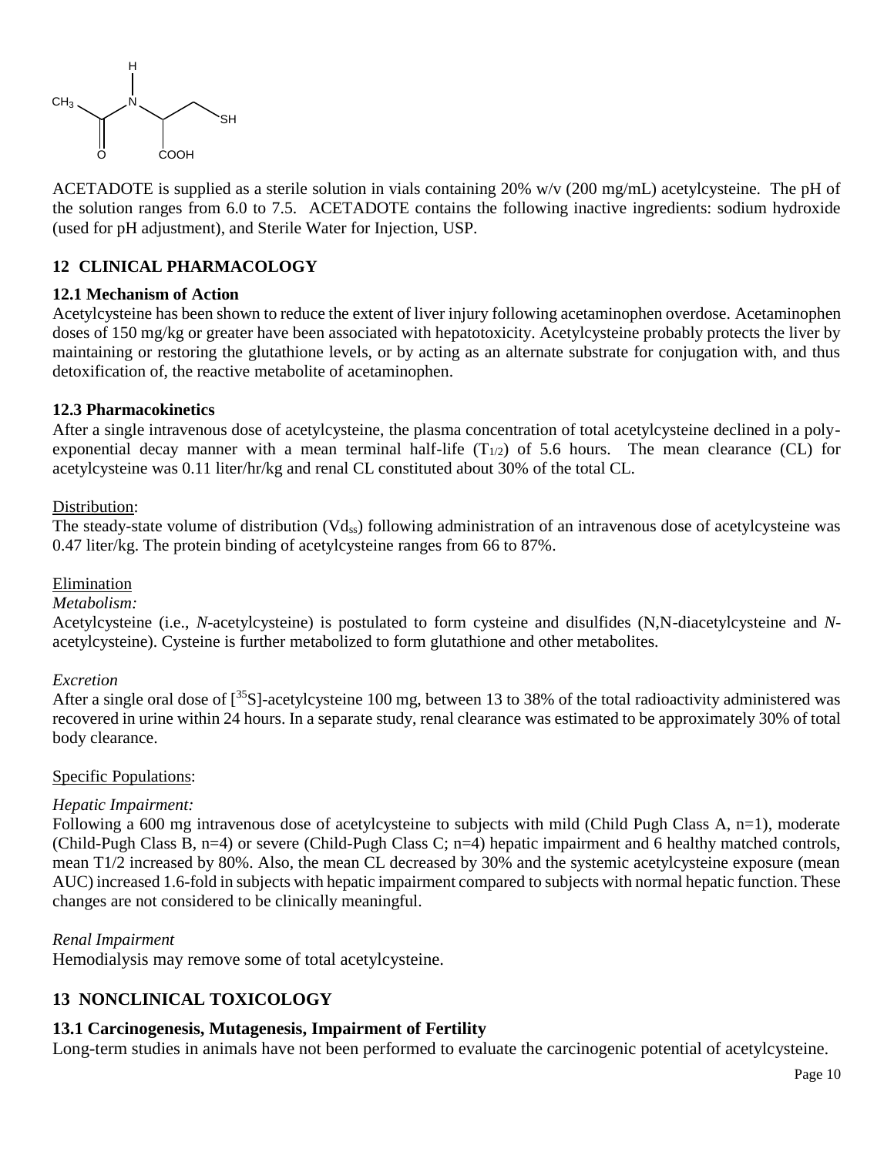

ACETADOTE is supplied as a sterile solution in vials containing 20% w/v (200 mg/mL) acetylcysteine. The pH of the solution ranges from 6.0 to 7.5. ACETADOTE contains the following inactive ingredients: sodium hydroxide (used for pH adjustment), and Sterile Water for Injection, USP.

## <span id="page-9-0"></span>**12 CLINICAL PHARMACOLOGY**

### <span id="page-9-1"></span>**12.1 Mechanism of Action**

Acetylcysteine has been shown to reduce the extent of liver injury following acetaminophen overdose. Acetaminophen doses of 150 mg/kg or greater have been associated with hepatotoxicity. Acetylcysteine probably protects the liver by maintaining or restoring the glutathione levels, or by acting as an alternate substrate for conjugation with, and thus detoxification of, the reactive metabolite of acetaminophen.

### <span id="page-9-2"></span>**12.3 Pharmacokinetics**

After a single intravenous dose of acetylcysteine, the plasma concentration of total acetylcysteine declined in a polyexponential decay manner with a mean terminal half-life  $(T_{1/2})$  of 5.6 hours. The mean clearance (CL) for acetylcysteine was 0.11 liter/hr/kg and renal CL constituted about 30% of the total CL.

### Distribution:

The steady-state volume of distribution  $(Vd_{ss})$  following administration of an intravenous dose of acetylcysteine was 0.47 liter/kg. The protein binding of acetylcysteine ranges from 66 to 87%.

### Elimination

### *Metabolism:*

Acetylcysteine (i.e., *N*-acetylcysteine) is postulated to form cysteine and disulfides (N,N-diacetylcysteine and *N*acetylcysteine). Cysteine is further metabolized to form glutathione and other metabolites.

### *Excretion*

After a single oral dose of  $\int^{35}S$ ]-acetylcysteine 100 mg, between 13 to 38% of the total radioactivity administered was recovered in urine within 24 hours. In a separate study, renal clearance was estimated to be approximately 30% of total body clearance.

### Specific Populations:

### *Hepatic Impairment:*

Following a 600 mg intravenous dose of acetylcysteine to subjects with mild (Child Pugh Class A, n=1), moderate (Child-Pugh Class B, n=4) or severe (Child-Pugh Class C; n=4) hepatic impairment and 6 healthy matched controls, mean T1/2 increased by 80%. Also, the mean CL decreased by 30% and the systemic acetylcysteine exposure (mean AUC) increased 1.6-fold in subjects with hepatic impairment compared to subjects with normal hepatic function. These changes are not considered to be clinically meaningful.

### *Renal Impairment*

Hemodialysis may remove some of total acetylcysteine.

# <span id="page-9-3"></span>**13 NONCLINICAL TOXICOLOGY**

### <span id="page-9-4"></span>**13.1 Carcinogenesis, Mutagenesis, Impairment of Fertility**

Long-term studies in animals have not been performed to evaluate the carcinogenic potential of acetylcysteine.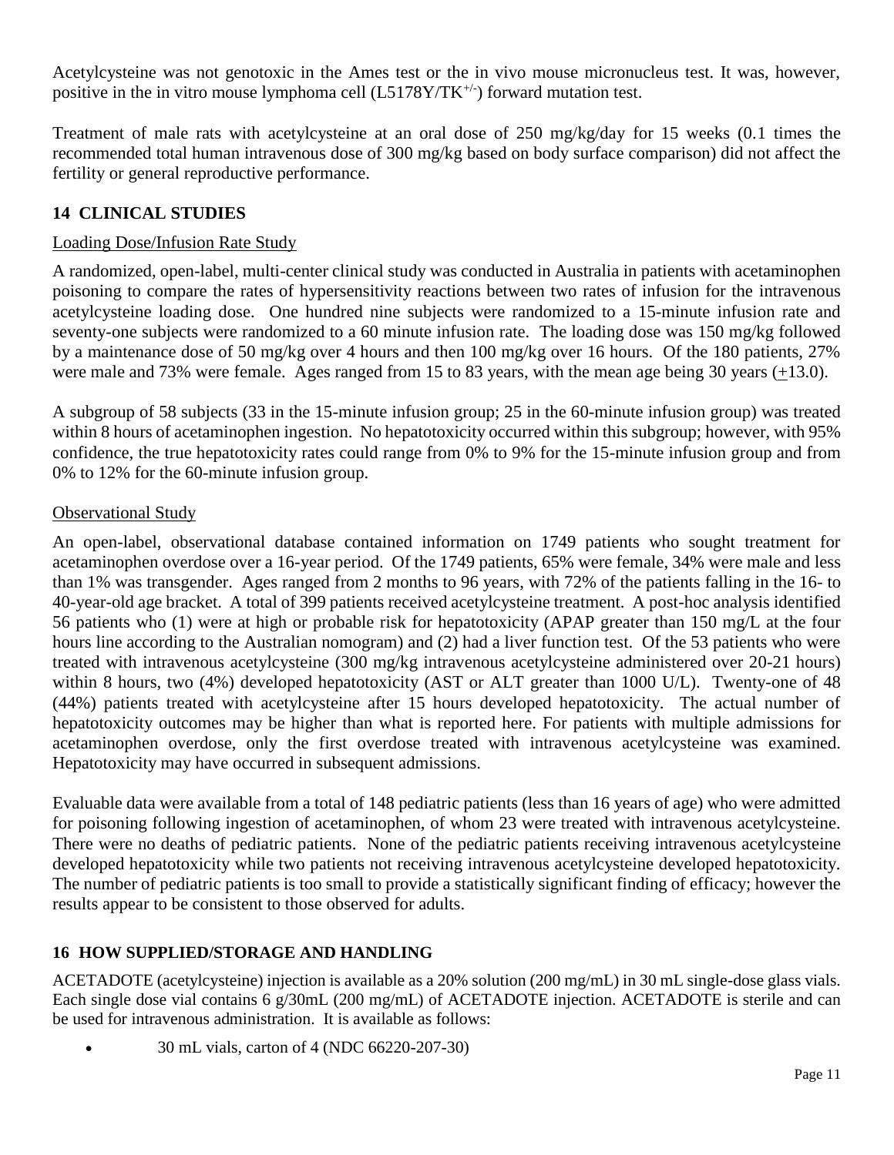Acetylcysteine was not genotoxic in the Ames test or the in vivo mouse micronucleus test. It was, however, positive in the in vitro mouse lymphoma cell  $(L5178Y/TK^{+/-})$  forward mutation test.

Treatment of male rats with acetylcysteine at an oral dose of 250 mg/kg/day for 15 weeks (0.1 times the recommended total human intravenous dose of 300 mg/kg based on body surface comparison) did not affect the fertility or general reproductive performance.

# <span id="page-10-0"></span>**14 CLINICAL STUDIES**

### Loading Dose/Infusion Rate Study

A randomized, open-label, multi-center clinical study was conducted in Australia in patients with acetaminophen poisoning to compare the rates of hypersensitivity reactions between two rates of infusion for the intravenous acetylcysteine loading dose. One hundred nine subjects were randomized to a 15-minute infusion rate and seventy-one subjects were randomized to a 60 minute infusion rate. The loading dose was 150 mg/kg followed by a maintenance dose of 50 mg/kg over 4 hours and then 100 mg/kg over 16 hours. Of the 180 patients, 27% were male and 73% were female. Ages ranged from 15 to 83 years, with the mean age being 30 years (+13.0).

A subgroup of 58 subjects (33 in the 15-minute infusion group; 25 in the 60-minute infusion group) was treated within 8 hours of acetaminophen ingestion. No hepatotoxicity occurred within this subgroup; however, with 95% confidence, the true hepatotoxicity rates could range from 0% to 9% for the 15-minute infusion group and from 0% to 12% for the 60-minute infusion group.

### Observational Study

An open-label, observational database contained information on 1749 patients who sought treatment for acetaminophen overdose over a 16-year period. Of the 1749 patients, 65% were female, 34% were male and less than 1% was transgender. Ages ranged from 2 months to 96 years, with 72% of the patients falling in the 16- to 40-year-old age bracket. A total of 399 patients received acetylcysteine treatment. A post-hoc analysis identified 56 patients who (1) were at high or probable risk for hepatotoxicity (APAP greater than 150 mg/L at the four hours line according to the Australian nomogram) and (2) had a liver function test. Of the 53 patients who were treated with intravenous acetylcysteine (300 mg/kg intravenous acetylcysteine administered over 20-21 hours) within 8 hours, two (4%) developed hepatotoxicity (AST or ALT greater than 1000 U/L). Twenty-one of 48 (44%) patients treated with acetylcysteine after 15 hours developed hepatotoxicity. The actual number of hepatotoxicity outcomes may be higher than what is reported here. For patients with multiple admissions for acetaminophen overdose, only the first overdose treated with intravenous acetylcysteine was examined. Hepatotoxicity may have occurred in subsequent admissions.

Evaluable data were available from a total of 148 pediatric patients (less than 16 years of age) who were admitted for poisoning following ingestion of acetaminophen, of whom 23 were treated with intravenous acetylcysteine. There were no deaths of pediatric patients. None of the pediatric patients receiving intravenous acetylcysteine developed hepatotoxicity while two patients not receiving intravenous acetylcysteine developed hepatotoxicity. The number of pediatric patients is too small to provide a statistically significant finding of efficacy; however the results appear to be consistent to those observed for adults.

## <span id="page-10-1"></span>**16 HOW SUPPLIED/STORAGE AND HANDLING**

ACETADOTE (acetylcysteine) injection is available as a 20% solution (200 mg/mL) in 30 mL single-dose glass vials. Each single dose vial contains 6 g/30mL (200 mg/mL) of ACETADOTE injection. ACETADOTE is sterile and can be used for intravenous administration. It is available as follows:

• 30 mL vials, carton of 4 (NDC 66220-207-30)